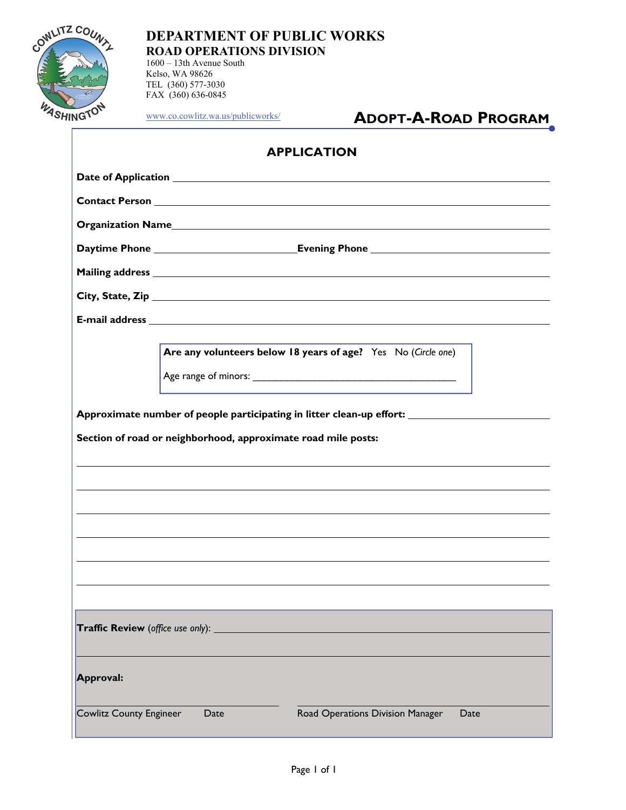

1600 – 13th Avenue South Kelso, WA 98626 TEL (360) 577-3030 FAX (360) 636-0845

[www.co.cowlitz.wa.us/publicworks/](http://www.co.cowlitz.wa.us/publicworks/)

# **ADOPT-A-ROAD PROGRAM**

|                                | <b>APPLICATION</b>                                                                                                                                                                                                             |  |
|--------------------------------|--------------------------------------------------------------------------------------------------------------------------------------------------------------------------------------------------------------------------------|--|
|                                |                                                                                                                                                                                                                                |  |
|                                |                                                                                                                                                                                                                                |  |
|                                | Organization Names and the contract of the contract of the contract of the contract of the contract of the contract of the contract of the contract of the contract of the contract of the contract of the contract of the con |  |
|                                |                                                                                                                                                                                                                                |  |
|                                |                                                                                                                                                                                                                                |  |
|                                |                                                                                                                                                                                                                                |  |
|                                |                                                                                                                                                                                                                                |  |
|                                | Are any volunteers below 18 years of age? Yes No (Circle one)                                                                                                                                                                  |  |
|                                | Approximate number of people participating in litter clean-up effort: ______________________________<br>Section of road or neighborhood, approximate road mile posts:                                                          |  |
|                                |                                                                                                                                                                                                                                |  |
| Approval:                      | Traffic Review (office use only): _________                                                                                                                                                                                    |  |
| <b>Cowlitz County Engineer</b> | Date<br>Road Operations Division Manager<br>Date                                                                                                                                                                               |  |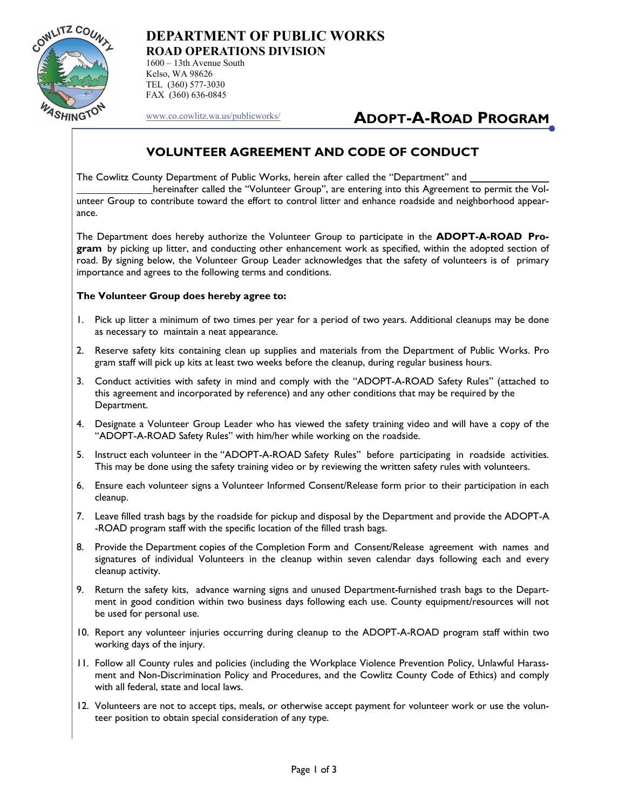

1600 – 13th Avenue South Kelso, WA 98626 TEL (360) 577-3030 FAX (360) 636-0845

[www.co.cowlitz.wa.us/publicworks/](http://www.co.cowlitz.wa.us/publicworks/)

## **ADOPT-A-ROAD PROGRAM**

### **VOLUNTEER AGREEMENT AND CODE OF CONDUCT**

The Cowlitz County Department of Public Works, herein after called the "Department" and

 hereinafter called the "Volunteer Group", are entering into this Agreement to permit the Volunteer Group to contribute toward the effort to control litter and enhance roadside and neighborhood appearance.

The Department does hereby authorize the Volunteer Group to participate in the **ADOPT-A-ROAD Program** by picking up litter, and conducting other enhancement work as specified, within the adopted section of road. By signing below, the Volunteer Group Leader acknowledges that the safety of volunteers is of primary importance and agrees to the following terms and conditions.

#### **The Volunteer Group does hereby agree to:**

- 1. Pick up litter a minimum of two times per year for a period of two years. Additional cleanups may be done as necessary to maintain a neat appearance.
- 2. Reserve safety kits containing clean up supplies and materials from the Department of Public Works. Pro gram staff will pick up kits at least two weeks before the cleanup, during regular business hours.
- 3. Conduct activities with safety in mind and comply with the "ADOPT-A-ROAD Safety Rules" (attached to this agreement and incorporated by reference) and any other conditions that may be required by the Department.
- 4. Designate a Volunteer Group Leader who has viewed the safety training video and will have a copy of the "ADOPT-A-ROAD Safety Rules" with him/her while working on the roadside.
- 5. Instruct each volunteer in the "ADOPT-A-ROAD Safety Rules" before participating in roadside activities. This may be done using the safety training video or by reviewing the written safety rules with volunteers.
- 6. Ensure each volunteer signs a Volunteer Informed Consent/Release form prior to their participation in each cleanup.
- 7. Leave filled trash bags by the roadside for pickup and disposal by the Department and provide the ADOPT-A -ROAD program staff with the specific location of the filled trash bags.
- 8. Provide the Department copies of the Completion Form and Consent/Release agreement with names and signatures of individual Volunteers in the cleanup within seven calendar days following each and every cleanup activity.
- 9. Return the safety kits, advance warning signs and unused Department-furnished trash bags to the Department in good condition within two business days following each use. County equipment/resources will not be used for personal use.
- 10. Report any volunteer injuries occurring during cleanup to the ADOPT-A-ROAD program staff within two working days of the injury.
- 11. Follow all County rules and policies (including the Workplace Violence Prevention Policy, Unlawful Harassment and Non-Discrimination Policy and Procedures, and the Cowlitz County Code of Ethics) and comply with all federal, state and local laws.
- 12. Volunteers are not to accept tips, meals, or otherwise accept payment for volunteer work or use the volunteer position to obtain special consideration of any type.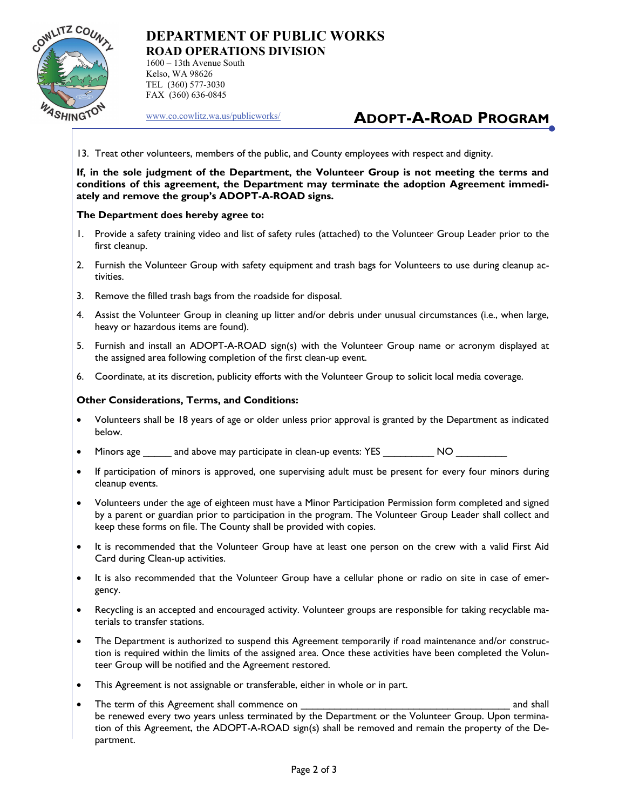

1600 – 13th Avenue South Kelso, WA 98626 TEL (360) 577-3030 FAX (360) 636-0845

[www.co.cowlitz.wa.us/publicworks/](http://www.co.cowlitz.wa.us/publicworks/)

# **ADOPT-A-ROAD PROGRAM**

13. Treat other volunteers, members of the public, and County employees with respect and dignity.

**If, in the sole judgment of the Department, the Volunteer Group is not meeting the terms and conditions of this agreement, the Department may terminate the adoption Agreement immediately and remove the group's ADOPT-A-ROAD signs.** 

#### **The Department does hereby agree to:**

- 1. Provide a safety training video and list of safety rules (attached) to the Volunteer Group Leader prior to the first cleanup.
- 2. Furnish the Volunteer Group with safety equipment and trash bags for Volunteers to use during cleanup activities.
- 3. Remove the filled trash bags from the roadside for disposal.
- 4. Assist the Volunteer Group in cleaning up litter and/or debris under unusual circumstances (i.e., when large, heavy or hazardous items are found).
- 5. Furnish and install an ADOPT-A-ROAD sign(s) with the Volunteer Group name or acronym displayed at the assigned area following completion of the first clean-up event.
- 6. Coordinate, at its discretion, publicity efforts with the Volunteer Group to solicit local media coverage.

#### **Other Considerations, Terms, and Conditions:**

- Volunteers shall be 18 years of age or older unless prior approval is granted by the Department as indicated below.
- Minors age and above may participate in clean-up events: YES MO
- If participation of minors is approved, one supervising adult must be present for every four minors during cleanup events.
- Volunteers under the age of eighteen must have a Minor Participation Permission form completed and signed by a parent or guardian prior to participation in the program. The Volunteer Group Leader shall collect and keep these forms on file. The County shall be provided with copies.
- It is recommended that the Volunteer Group have at least one person on the crew with a valid First Aid Card during Clean-up activities.
- It is also recommended that the Volunteer Group have a cellular phone or radio on site in case of emergency.
- Recycling is an accepted and encouraged activity. Volunteer groups are responsible for taking recyclable materials to transfer stations.
- The Department is authorized to suspend this Agreement temporarily if road maintenance and/or construction is required within the limits of the assigned area. Once these activities have been completed the Volunteer Group will be notified and the Agreement restored.
- This Agreement is not assignable or transferable, either in whole or in part.
- The term of this Agreement shall commence on **Example 2018** 2019 12:30 and shall be renewed every two years unless terminated by the Department or the Volunteer Group. Upon termination of this Agreement, the ADOPT-A-ROAD sign(s) shall be removed and remain the property of the Department.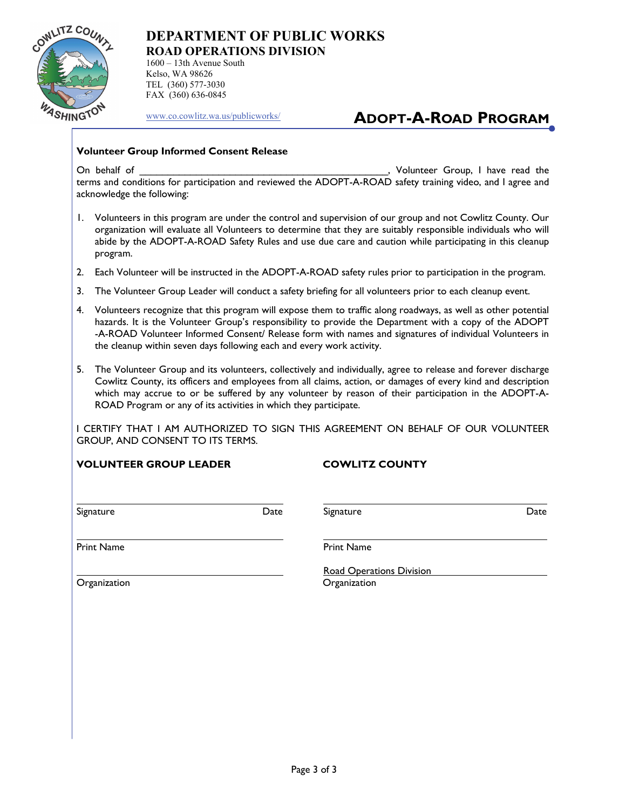

1600 – 13th Avenue South Kelso, WA 98626 TEL (360) 577-3030 FAX (360) 636-0845

[www.co.cowlitz.wa.us/publicworks/](http://www.co.cowlitz.wa.us/publicworks/)

# **ADOPT-A-ROAD PROGRAM**

#### **Volunteer Group Informed Consent Release**

On behalf of **On behalf of the contract of the contract of the contract of the contract of the contract of the contract of the contract of the contract of the contract of the contract of the contract of the contract of the** terms and conditions for participation and reviewed the ADOPT-A-ROAD safety training video, and I agree and acknowledge the following:

- 1. Volunteers in this program are under the control and supervision of our group and not Cowlitz County. Our organization will evaluate all Volunteers to determine that they are suitably responsible individuals who will abide by the ADOPT-A-ROAD Safety Rules and use due care and caution while participating in this cleanup program.
- 2. Each Volunteer will be instructed in the ADOPT-A-ROAD safety rules prior to participation in the program.
- 3. The Volunteer Group Leader will conduct a safety briefing for all volunteers prior to each cleanup event.
- 4. Volunteers recognize that this program will expose them to traffic along roadways, as well as other potential hazards. It is the Volunteer Group's responsibility to provide the Department with a copy of the ADOPT -A-ROAD Volunteer Informed Consent/ Release form with names and signatures of individual Volunteers in the cleanup within seven days following each and every work activity.
- 5. The Volunteer Group and its volunteers, collectively and individually, agree to release and forever discharge Cowlitz County, its officers and employees from all claims, action, or damages of every kind and description which may accrue to or be suffered by any volunteer by reason of their participation in the ADOPT-A- ROAD Program or any of its activities in which they participate.

I CERTIFY THAT I AM AUTHORIZED TO SIGN THIS AGREEMENT ON BEHALF OF OUR VOLUNTEER GROUP, AND CONSENT TO ITS TERMS.

**VOLUNTEER GROUP LEADER COWLITZ COUNTY** 

Signature Date Signature Date

i<br>L

i<br>L

Print Name **Print Name** 

Organization Organization

Road Operations Division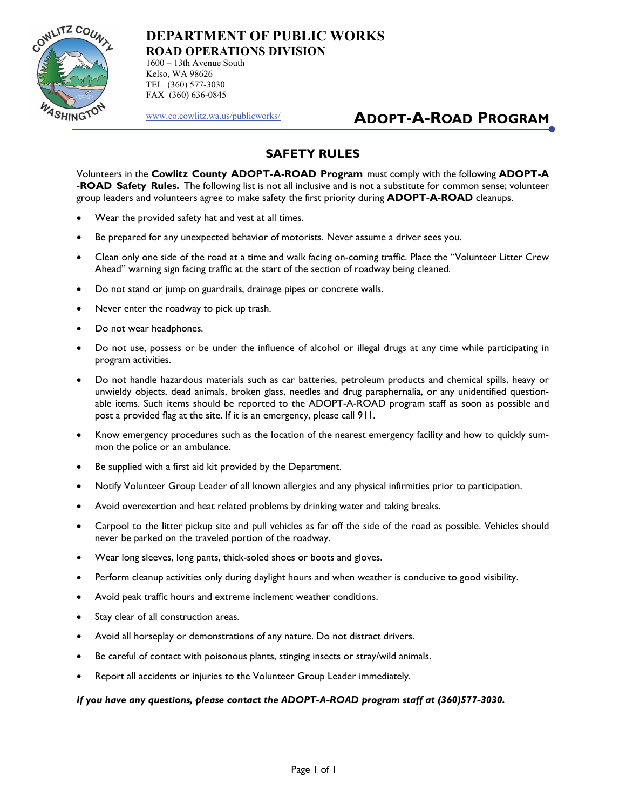

1600 – 13th Avenue South Kelso, WA 98626 TEL (360) 577-3030 FAX (360) 636-0845

[www.co.cowlitz.wa.us/publicworks/](http://www.co.cowlitz.wa.us/publicworks/)

## **ADOPT-A-ROAD PROGRAM**

### **SAFETY RULES**

Volunteers in the **Cowlitz County ADOPT-A-ROAD Program** must comply with the following **ADOPT-A -ROAD Safety Rules.** The following list is not all inclusive and is not a substitute for common sense; volunteer group leaders and volunteers agree to make safety the first priority during **ADOPT-A-ROAD** cleanups.

- Wear the provided safety hat and vest at all times.
- Be prepared for any unexpected behavior of motorists. Never assume a driver sees you.
- Clean only one side of the road at a time and walk facing on-coming traffic. Place the "Volunteer Litter Crew Ahead" warning sign facing traffic at the start of the section of roadway being cleaned.
- Do not stand or jump on guardrails, drainage pipes or concrete walls.
- Never enter the roadway to pick up trash.
- Do not wear headphones.
- Do not use, possess or be under the influence of alcohol or illegal drugs at any time while participating in program activities.
- Do not handle hazardous materials such as car batteries, petroleum products and chemical spills, heavy or unwieldy objects, dead animals, broken glass, needles and drug paraphernalia, or any unidentified questionable items. Such items should be reported to the ADOPT-A-ROAD program staff as soon as possible and post a provided flag at the site. If it is an emergency, please call 911.
- Know emergency procedures such as the location of the nearest emergency facility and how to quickly summon the police or an ambulance.
- Be supplied with a first aid kit provided by the Department.
- Notify Volunteer Group Leader of all known allergies and any physical infirmities prior to participation.
- Avoid overexertion and heat related problems by drinking water and taking breaks.
- Carpool to the litter pickup site and pull vehicles as far off the side of the road as possible. Vehicles should never be parked on the traveled portion of the roadway.
- Wear long sleeves, long pants, thick-soled shoes or boots and gloves.
- Perform cleanup activities only during daylight hours and when weather is conducive to good visibility.
- Avoid peak traffic hours and extreme inclement weather conditions.
- Stay clear of all construction areas.
- Avoid all horseplay or demonstrations of any nature. Do not distract drivers.
- Be careful of contact with poisonous plants, stinging insects or stray/wild animals.
- Report all accidents or injuries to the Volunteer Group Leader immediately.

#### *If you have any questions, please contact the ADOPT-A-ROAD program staff at (360)577-3030.*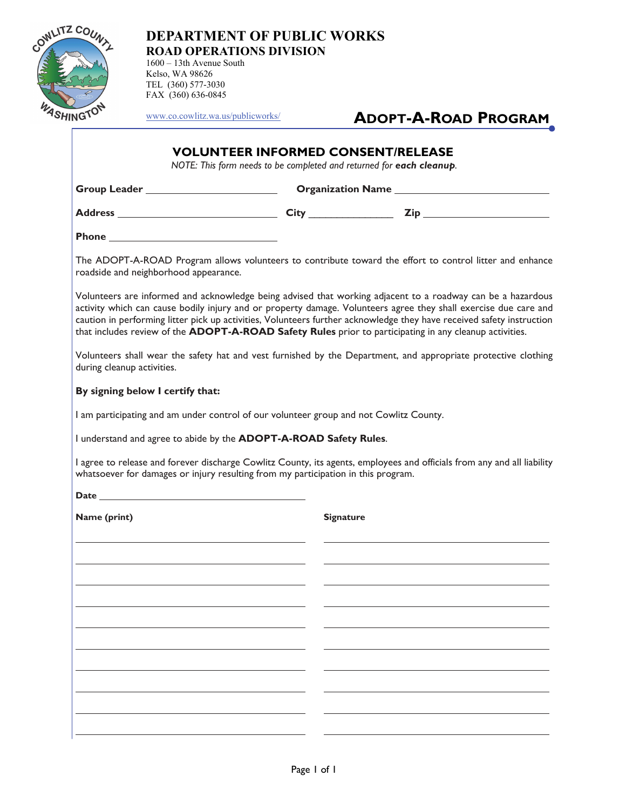

1600 – 13th Avenue South Kelso, WA 98626 TEL (360) 577-3030 FAX (360) 636-0845

[www.co.cowlitz.wa.us/publicworks/](http://www.co.cowlitz.wa.us/publicworks/)

# **ADOPT-A-ROAD PROGRAM**

#### **VOLUNTEER INFORMED CONSENT/RELEASE**

*NOTE: This form needs to be completed and returned for each cleanup.* 

**Group Leader Organization Name** 

**Address City** \_\_\_\_\_\_\_\_\_\_\_\_\_\_\_ **Zip** 

**Phone** 

The ADOPT-A-ROAD Program allows volunteers to contribute toward the effort to control litter and enhance roadside and neighborhood appearance.

Volunteers are informed and acknowledge being advised that working adjacent to a roadway can be a hazardous activity which can cause bodily injury and or property damage. Volunteers agree they shall exercise due care and caution in performing litter pick up activities, Volunteers further acknowledge they have received safety instruction that includes review of the **ADOPT-A-ROAD Safety Rules** prior to participating in any cleanup activities.

Volunteers shall wear the safety hat and vest furnished by the Department, and appropriate protective clothing during cleanup activities.

#### **By signing below I certify that:**

I am participating and am under control of our volunteer group and not Cowlitz County.

I understand and agree to abide by the **ADOPT-A-ROAD Safety Rules**.

I agree to release and forever discharge Cowlitz County, its agents, employees and officials from any and all liability whatsoever for damages or injury resulting from my participation in this program.

Date

**Name (print)** Signature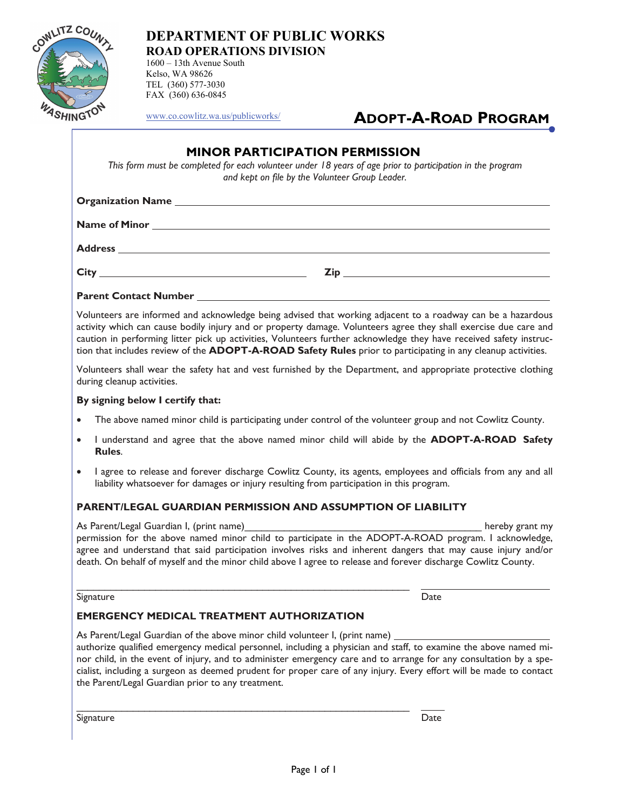

1600 – 13th Avenue South Kelso, WA 98626 TEL (360) 577-3030 FAX (360) 636-0845

[www.co.cowlitz.wa.us/publicworks/](http://www.co.cowlitz.wa.us/publicworks/)

# **ADOPT-A-ROAD PROGRAM**

#### **MINOR PARTICIPATION PERMISSION**

*This form must be completed for each volunteer under 18 years of age prior to participation in the program and kept on file by the Volunteer Group Leader.* 

| <b>City</b> | Zin |
|-------------|-----|

#### **Parent Contact Number**

Volunteers are informed and acknowledge being advised that working adjacent to a roadway can be a hazardous activity which can cause bodily injury and or property damage. Volunteers agree they shall exercise due care and caution in performing litter pick up activities, Volunteers further acknowledge they have received safety instruction that includes review of the **ADOPT-A-ROAD Safety Rules** prior to participating in any cleanup activities.

Volunteers shall wear the safety hat and vest furnished by the Department, and appropriate protective clothing during cleanup activities.

#### **By signing below I certify that:**

- The above named minor child is participating under control of the volunteer group and not Cowlitz County.
- I understand and agree that the above named minor child will abide by the **ADOPT-A-ROAD Safety Rules**.
- I agree to release and forever discharge Cowlitz County, its agents, employees and officials from any and all liability whatsoever for damages or injury resulting from participation in this program.

#### **PARENT/LEGAL GUARDIAN PERMISSION AND ASSUMPTION OF LIABILITY**

As Parent/Legal Guardian I, (print name) and the set of the set of the set of the set of the set of the set of the set of the set of the set of the set of the set of the set of the set of the set of the set of the set of t permission for the above named minor child to participate in the ADOPT-A-ROAD program. I acknowledge, agree and understand that said participation involves risks and inherent dangers that may cause injury and/or death. On behalf of myself and the minor child above I agree to release and forever discharge Cowlitz County.

Signature Date

#### **EMERGENCY MEDICAL TREATMENT AUTHORIZATION**

\_\_\_\_\_\_\_\_\_\_\_\_\_\_\_\_\_\_\_\_\_\_\_\_\_\_\_\_\_\_\_\_\_\_\_\_\_\_\_\_\_\_\_\_\_\_\_\_\_\_\_\_\_\_\_\_\_\_\_

\_\_\_\_\_\_\_\_\_\_\_\_\_\_\_\_\_\_\_\_\_\_\_\_\_\_\_\_\_\_\_\_\_\_\_\_\_\_\_\_\_\_\_\_\_\_\_\_\_\_\_\_\_\_\_\_\_\_\_

As Parent/Legal Guardian of the above minor child volunteer I, (print name) authorize qualified emergency medical personnel, including a physician and staff, to examine the above named minor child, in the event of injury, and to administer emergency care and to arrange for any consultation by a specialist, including a surgeon as deemed prudent for proper care of any injury. Every effort will be made to contact the Parent/Legal Guardian prior to any treatment.

Signature **Date**